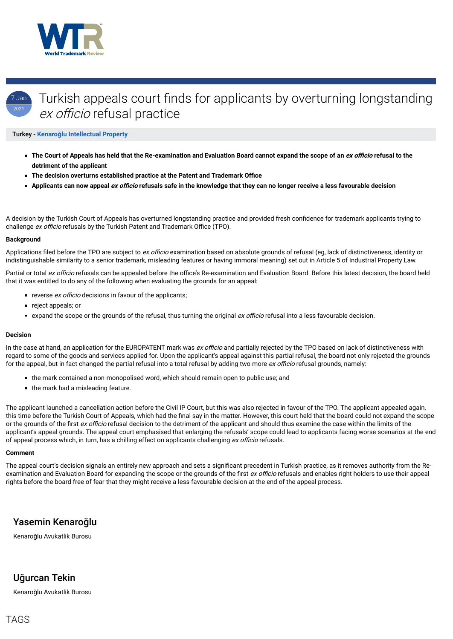



# Turkish appeals court finds for applicants by overturning longstanding ex officio refusal practice

### Turkey - **Kenaroğ[lu Intellectual Property](https://www.worldtrademarkreview.com/Daily/Contributors#Turkey)**

- **The Court of Appeals has held that the Re-examination and Evaluation Board cannot expand the scope of an** *ex officio* **refusal to the detriment of the applicant**
- **The decision overturns established practice at the Patent and Trademark Office**
- **Applicants can now appeal** *ex officio* **refusals safe in the knowledge that they can no longer receive a less favourable decision**

A decision by the Turkish Court of Appeals has overturned longstanding practice and provided fresh confidence for trademark applicants trying to challenge ex officio refusals by the Turkish Patent and Trademark Office (TPO).

Applications filed before the TPO are subject to ex officio examination based on absolute grounds of refusal (eg, lack of distinctiveness, identity or indistinguishable similarity to a senior trademark, misleading features or having immoral meaning) set out in Article 5 of Industrial Property Law.

Partial or total ex officio refusals can be appealed before the office's Re-examination and Evaluation Board. Before this latest decision, the board held that it was entitled to do any of the following when evaluating the grounds for an appeal:

- reverse ex officio decisions in favour of the applicants;
- reject appeals; or
- **Expand the scope or the grounds of the refusal, thus turning the original ex officio refusal into a less favourable decision.**

#### **Background**

- the mark contained a non-monopolised word, which should remain open to public use; and
- $\blacksquare$  the mark had a misleading feature.

The applicant launched a cancellation action before the Civil IP Court, but this was also rejected in favour of the TPO. The applicant appealed again, this time before the Turkish Court of Appeals, which had the final say in the matter. However, this court held that the board could not expand the scope or the grounds of the first *ex officio* refusal decision to the detriment of the applicant and should thus examine the case within the limits of the applicant's appeal grounds. The appeal court emphasised that enlarging the refusals' scope could lead to applicants facing worse scenarios at the end of appeal process which, in turn, has a chilling effect on applicants challenging ex officio refusals.

#### **Decision**

In the case at hand, an application for the EUROPATENT mark was ex officio and partially rejected by the TPO based on lack of distinctiveness with regard to some of the goods and services applied for. Upon the applicant's appeal against this partial refusal, the board not only rejected the grounds for the appeal, but in fact changed the partial refusal into a total refusal by adding two more ex officio refusal grounds, namely:

The appeal court's decision signals an entirely new approach and sets a significant precedent in Turkish practice, as it removes authority from the Reexamination and Evaluation Board for expanding the scope or the grounds of the first ex officio refusals and enables right holders to use their appeal rights before the board free of fear that they might receive a less favourable decision at the end of the appeal process.

#### **Comment**

## Yasemin Kenaroğlu

Kenaroğlu Avukatlik Burosu

## Uğurcan Tekin

Kenaroğlu Avukatlik Burosu